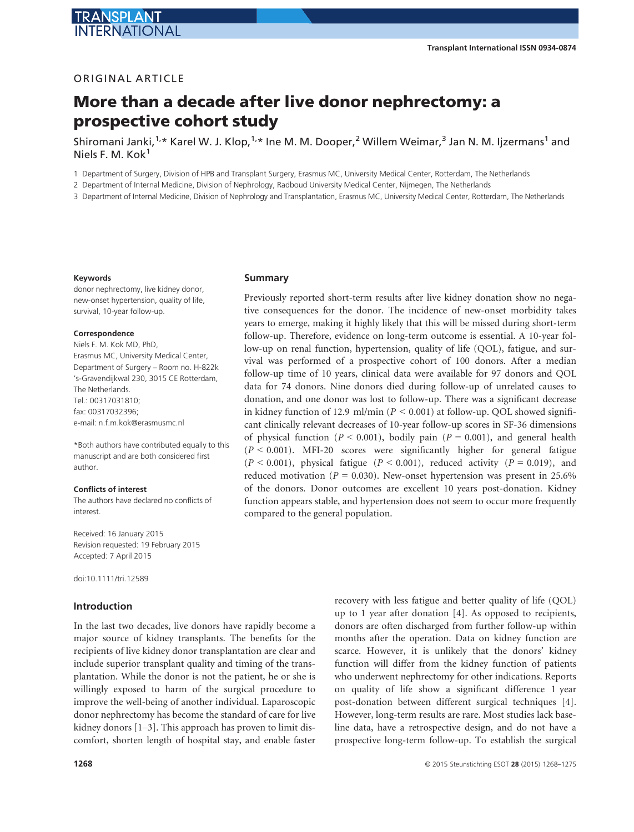## ORIGINAL ARTICLE

# More than a decade after live donor nephrectomy: a prospective cohort study

Shiromani Janki,<sup>1,\*</sup> Karel W. J. Klop,<sup>1,\*</sup> Ine M. M. Dooper,<sup>2</sup> Willem Weimar,<sup>3</sup> Jan N. M. Ijzermans<sup>1</sup> and Niels F. M. Kok<sup>1</sup>

1 Department of Surgery, Division of HPB and Transplant Surgery, Erasmus MC, University Medical Center, Rotterdam, The Netherlands

2 Department of Internal Medicine, Division of Nephrology, Radboud University Medical Center, Nijmegen, The Netherlands

3 Department of Internal Medicine, Division of Nephrology and Transplantation, Erasmus MC, University Medical Center, Rotterdam, The Netherlands

#### Keywords

donor nephrectomy, live kidney donor, new-onset hypertension, quality of life, survival, 10-year follow-up.

### Correspondence

Niels F. M. Kok MD, PhD, Erasmus MC, University Medical Center, Department of Surgery – Room no. H-822k 's-Gravendijkwal 230, 3015 CE Rotterdam, The Netherlands. Tel.: 00317031810; fax: 00317032396; e-mail: n.f.m.kok@erasmusmc.nl

\*Both authors have contributed equally to this manuscript and are both considered first author.

#### Conflicts of interest

The authors have declared no conflicts of interest.

Received: 16 January 2015 Revision requested: 19 February 2015 Accepted: 7 April 2015

doi:10.1111/tri.12589

## Introduction

In the last two decades, live donors have rapidly become a major source of kidney transplants. The benefits for the recipients of live kidney donor transplantation are clear and include superior transplant quality and timing of the transplantation. While the donor is not the patient, he or she is willingly exposed to harm of the surgical procedure to improve the well-being of another individual. Laparoscopic donor nephrectomy has become the standard of care for live kidney donors [1–3]. This approach has proven to limit discomfort, shorten length of hospital stay, and enable faster

#### Summary

Previously reported short-term results after live kidney donation show no negative consequences for the donor. The incidence of new-onset morbidity takes years to emerge, making it highly likely that this will be missed during short-term follow-up. Therefore, evidence on long-term outcome is essential. A 10-year follow-up on renal function, hypertension, quality of life (QOL), fatigue, and survival was performed of a prospective cohort of 100 donors. After a median follow-up time of 10 years, clinical data were available for 97 donors and QOL data for 74 donors. Nine donors died during follow-up of unrelated causes to donation, and one donor was lost to follow-up. There was a significant decrease in kidney function of 12.9 ml/min ( $P \le 0.001$ ) at follow-up. OOL showed significant clinically relevant decreases of 10-year follow-up scores in SF-36 dimensions of physical function ( $P < 0.001$ ), bodily pain ( $P = 0.001$ ), and general health  $(P < 0.001)$ . MFI-20 scores were significantly higher for general fatigue  $(P < 0.001)$ , physical fatigue  $(P < 0.001)$ , reduced activity  $(P = 0.019)$ , and reduced motivation ( $P = 0.030$ ). New-onset hypertension was present in 25.6% of the donors. Donor outcomes are excellent 10 years post-donation. Kidney function appears stable, and hypertension does not seem to occur more frequently compared to the general population.

> recovery with less fatigue and better quality of life (QOL) up to 1 year after donation [4]. As opposed to recipients, donors are often discharged from further follow-up within months after the operation. Data on kidney function are scarce. However, it is unlikely that the donors' kidney function will differ from the kidney function of patients who underwent nephrectomy for other indications. Reports on quality of life show a significant difference 1 year post-donation between different surgical techniques [4]. However, long-term results are rare. Most studies lack baseline data, have a retrospective design, and do not have a prospective long-term follow-up. To establish the surgical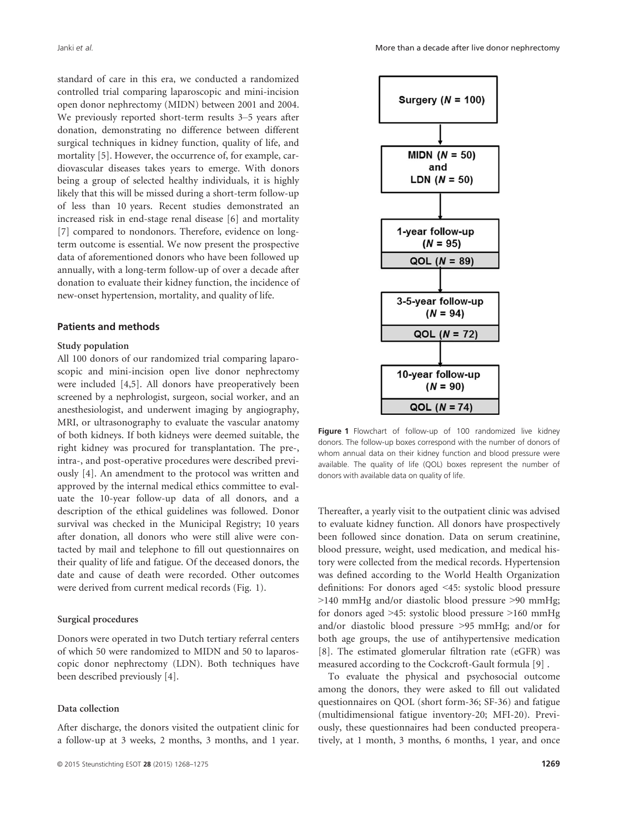standard of care in this era, we conducted a randomized controlled trial comparing laparoscopic and mini-incision open donor nephrectomy (MIDN) between 2001 and 2004. We previously reported short-term results 3–5 years after donation, demonstrating no difference between different surgical techniques in kidney function, quality of life, and mortality [5]. However, the occurrence of, for example, cardiovascular diseases takes years to emerge. With donors being a group of selected healthy individuals, it is highly likely that this will be missed during a short-term follow-up of less than 10 years. Recent studies demonstrated an increased risk in end-stage renal disease [6] and mortality [7] compared to nondonors. Therefore, evidence on longterm outcome is essential. We now present the prospective data of aforementioned donors who have been followed up annually, with a long-term follow-up of over a decade after donation to evaluate their kidney function, the incidence of new-onset hypertension, mortality, and quality of life.

### Patients and methods

### Study population

All 100 donors of our randomized trial comparing laparoscopic and mini-incision open live donor nephrectomy were included [4,5]. All donors have preoperatively been screened by a nephrologist, surgeon, social worker, and an anesthesiologist, and underwent imaging by angiography, MRI, or ultrasonography to evaluate the vascular anatomy of both kidneys. If both kidneys were deemed suitable, the right kidney was procured for transplantation. The pre-, intra-, and post-operative procedures were described previously [4]. An amendment to the protocol was written and approved by the internal medical ethics committee to evaluate the 10-year follow-up data of all donors, and a description of the ethical guidelines was followed. Donor survival was checked in the Municipal Registry; 10 years after donation, all donors who were still alive were contacted by mail and telephone to fill out questionnaires on their quality of life and fatigue. Of the deceased donors, the date and cause of death were recorded. Other outcomes were derived from current medical records (Fig. 1).

## Surgical procedures

Donors were operated in two Dutch tertiary referral centers of which 50 were randomized to MIDN and 50 to laparoscopic donor nephrectomy (LDN). Both techniques have been described previously [4].

## Data collection

After discharge, the donors visited the outpatient clinic for a follow-up at 3 weeks, 2 months, 3 months, and 1 year.



Figure 1 Flowchart of follow-up of 100 randomized live kidney donors. The follow-up boxes correspond with the number of donors of whom annual data on their kidney function and blood pressure were available. The quality of life (QOL) boxes represent the number of donors with available data on quality of life.

Thereafter, a yearly visit to the outpatient clinic was advised to evaluate kidney function. All donors have prospectively been followed since donation. Data on serum creatinine, blood pressure, weight, used medication, and medical history were collected from the medical records. Hypertension was defined according to the World Health Organization definitions: For donors aged <45: systolic blood pressure >140 mmHg and/or diastolic blood pressure >90 mmHg; for donors aged >45: systolic blood pressure >160 mmHg and/or diastolic blood pressure >95 mmHg; and/or for both age groups, the use of antihypertensive medication [8]. The estimated glomerular filtration rate (eGFR) was measured according to the Cockcroft-Gault formula [9] .

To evaluate the physical and psychosocial outcome among the donors, they were asked to fill out validated questionnaires on QOL (short form-36; SF-36) and fatigue (multidimensional fatigue inventory-20; MFI-20). Previously, these questionnaires had been conducted preoperatively, at 1 month, 3 months, 6 months, 1 year, and once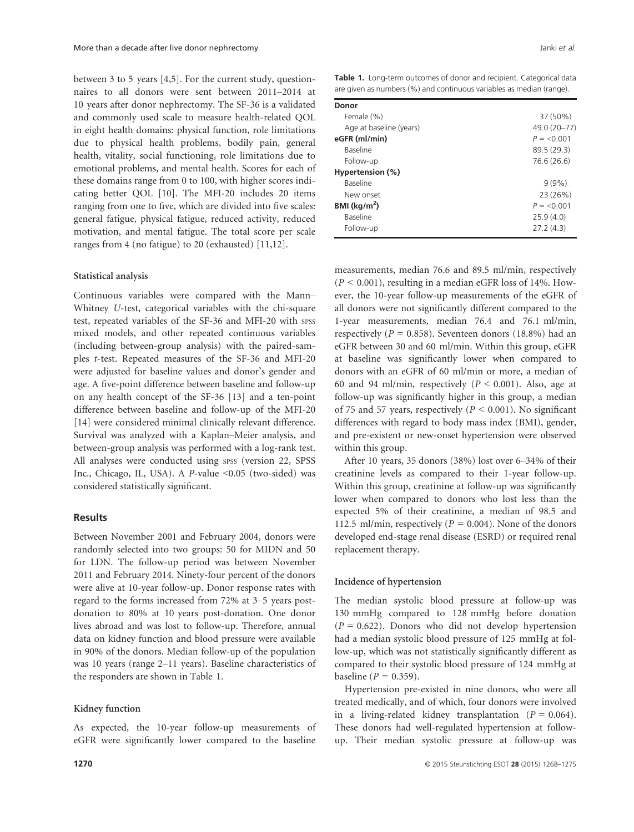between 3 to 5 years [4,5]. For the current study, questionnaires to all donors were sent between 2011–2014 at 10 years after donor nephrectomy. The SF-36 is a validated and commonly used scale to measure health-related QOL in eight health domains: physical function, role limitations due to physical health problems, bodily pain, general health, vitality, social functioning, role limitations due to emotional problems, and mental health. Scores for each of these domains range from 0 to 100, with higher scores indicating better QOL [10]. The MFI-20 includes 20 items ranging from one to five, which are divided into five scales: general fatigue, physical fatigue, reduced activity, reduced motivation, and mental fatigue. The total score per scale ranges from 4 (no fatigue) to 20 (exhausted) [11,12].

## Statistical analysis

Continuous variables were compared with the Mann– Whitney U-test, categorical variables with the chi-square test, repeated variables of the SF-36 and MFI-20 with spss mixed models, and other repeated continuous variables (including between-group analysis) with the paired-samples t-test. Repeated measures of the SF-36 and MFI-20 were adjusted for baseline values and donor's gender and age. A five-point difference between baseline and follow-up on any health concept of the SF-36 [13] and a ten-point difference between baseline and follow-up of the MFI-20 [14] were considered minimal clinically relevant difference. Survival was analyzed with a Kaplan–Meier analysis, and between-group analysis was performed with a log-rank test. All analyses were conducted using spss (version 22, SPSS Inc., Chicago, IL, USA). A P-value <0.05 (two-sided) was considered statistically significant.

## Results

Between November 2001 and February 2004, donors were randomly selected into two groups: 50 for MIDN and 50 for LDN. The follow-up period was between November 2011 and February 2014. Ninety-four percent of the donors were alive at 10-year follow-up. Donor response rates with regard to the forms increased from 72% at 3–5 years postdonation to 80% at 10 years post-donation. One donor lives abroad and was lost to follow-up. Therefore, annual data on kidney function and blood pressure were available in 90% of the donors. Median follow-up of the population was 10 years (range 2–11 years). Baseline characteristics of the responders are shown in Table 1.

## Kidney function

As expected, the 10-year follow-up measurements of eGFR were significantly lower compared to the baseline

Table 1. Long-term outcomes of donor and recipient. Categorical data are given as numbers (%) and continuous variables as median (range).

| Donor                   |              |
|-------------------------|--------------|
| Female (%)              | 37 (50%)     |
| Age at baseline (years) | 49.0 (20-77) |
| eGFR (ml/min)           | $P = 0.001$  |
| <b>Baseline</b>         | 89.5 (29.3)  |
| Follow-up               | 76.6 (26.6)  |
| Hypertension (%)        |              |
| <b>Baseline</b>         | $9(9\%)$     |
| New onset               | 23 (26%)     |
| BMI ( $\text{kg/m}^2$ ) | $P = 0.001$  |
| <b>Baseline</b>         | 25.9(4.0)    |
| Follow-up               | 27.2(4.3)    |

measurements, median 76.6 and 89.5 ml/min, respectively  $(P < 0.001)$ , resulting in a median eGFR loss of 14%. However, the 10-year follow-up measurements of the eGFR of all donors were not significantly different compared to the 1-year measurements, median 76.4 and 76.1 ml/min, respectively ( $P = 0.858$ ). Seventeen donors (18.8%) had an eGFR between 30 and 60 ml/min. Within this group, eGFR at baseline was significantly lower when compared to donors with an eGFR of 60 ml/min or more, a median of 60 and 94 ml/min, respectively  $(P < 0.001)$ . Also, age at follow-up was significantly higher in this group, a median of 75 and 57 years, respectively ( $P < 0.001$ ). No significant differences with regard to body mass index (BMI), gender, and pre-existent or new-onset hypertension were observed within this group.

After 10 years, 35 donors (38%) lost over 6–34% of their creatinine levels as compared to their 1-year follow-up. Within this group, creatinine at follow-up was significantly lower when compared to donors who lost less than the expected 5% of their creatinine, a median of 98.5 and 112.5 ml/min, respectively ( $P = 0.004$ ). None of the donors developed end-stage renal disease (ESRD) or required renal replacement therapy.

## Incidence of hypertension

The median systolic blood pressure at follow-up was 130 mmHg compared to 128 mmHg before donation  $(P = 0.622)$ . Donors who did not develop hypertension had a median systolic blood pressure of 125 mmHg at follow-up, which was not statistically significantly different as compared to their systolic blood pressure of 124 mmHg at baseline ( $P = 0.359$ ).

Hypertension pre-existed in nine donors, who were all treated medically, and of which, four donors were involved in a living-related kidney transplantation ( $P = 0.064$ ). These donors had well-regulated hypertension at followup. Their median systolic pressure at follow-up was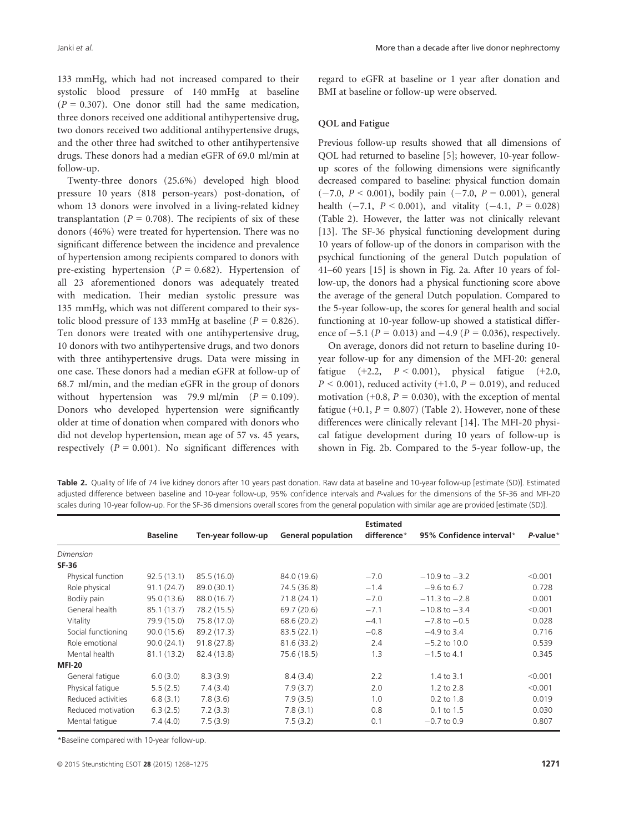133 mmHg, which had not increased compared to their systolic blood pressure of 140 mmHg at baseline  $(P = 0.307)$ . One donor still had the same medication, three donors received one additional antihypertensive drug, two donors received two additional antihypertensive drugs, and the other three had switched to other antihypertensive drugs. These donors had a median eGFR of 69.0 ml/min at follow-up.

Twenty-three donors (25.6%) developed high blood pressure 10 years (818 person-years) post-donation, of whom 13 donors were involved in a living-related kidney transplantation ( $P = 0.708$ ). The recipients of six of these donors (46%) were treated for hypertension. There was no significant difference between the incidence and prevalence of hypertension among recipients compared to donors with pre-existing hypertension ( $P = 0.682$ ). Hypertension of all 23 aforementioned donors was adequately treated with medication. Their median systolic pressure was 135 mmHg, which was not different compared to their systolic blood pressure of 133 mmHg at baseline ( $P = 0.826$ ). Ten donors were treated with one antihypertensive drug, 10 donors with two antihypertensive drugs, and two donors with three antihypertensive drugs. Data were missing in one case. These donors had a median eGFR at follow-up of 68.7 ml/min, and the median eGFR in the group of donors without hypertension was 79.9 ml/min  $(P = 0.109)$ . Donors who developed hypertension were significantly older at time of donation when compared with donors who did not develop hypertension, mean age of 57 vs. 45 years, respectively ( $P = 0.001$ ). No significant differences with regard to eGFR at baseline or 1 year after donation and BMI at baseline or follow-up were observed.

## QOL and Fatigue

Previous follow-up results showed that all dimensions of QOL had returned to baseline [5]; however, 10-year followup scores of the following dimensions were significantly decreased compared to baseline: physical function domain  $(-7.0, P < 0.001)$ , bodily pain  $(-7.0, P = 0.001)$ , general health  $(-7.1, P < 0.001)$ , and vitality  $(-4.1, P = 0.028)$ (Table 2). However, the latter was not clinically relevant [13]. The SF-36 physical functioning development during 10 years of follow-up of the donors in comparison with the psychical functioning of the general Dutch population of 41–60 years [15] is shown in Fig. 2a. After 10 years of follow-up, the donors had a physical functioning score above the average of the general Dutch population. Compared to the 5-year follow-up, the scores for general health and social functioning at 10-year follow-up showed a statistical difference of  $-5.1$  ( $P = 0.013$ ) and  $-4.9$  ( $P = 0.036$ ), respectively.

On average, donors did not return to baseline during 10 year follow-up for any dimension of the MFI-20: general fatigue  $(+2.2, P < 0.001)$ , physical fatigue  $(+2.0,$  $P < 0.001$ ), reduced activity (+1.0,  $P = 0.019$ ), and reduced motivation (+0.8,  $P = 0.030$ ), with the exception of mental fatigue  $(+0.1, P = 0.807)$  (Table 2). However, none of these differences were clinically relevant [14]. The MFI-20 physical fatigue development during 10 years of follow-up is shown in Fig. 2b. Compared to the 5-year follow-up, the

| Table 2. Quality of life of 74 live kidney donors after 10 years past donation. Raw data at baseline and 10-year follow-up [estimate (SD)]. Estimated |  |
|-------------------------------------------------------------------------------------------------------------------------------------------------------|--|
| adjusted difference between baseline and 10-year follow-up, 95% confidence intervals and P-values for the dimensions of the SF-36 and MFI-20          |  |
| scales during 10-year follow-up. For the SF-36 dimensions overall scores from the general population with similar age are provided [estimate (SD)].   |  |

|                    |                 |                    |                           | <b>Estimated</b> |                          |             |
|--------------------|-----------------|--------------------|---------------------------|------------------|--------------------------|-------------|
|                    | <b>Baseline</b> | Ten-year follow-up | <b>General population</b> | difference*      | 95% Confidence interval* | $P$ -value* |
| <b>Dimension</b>   |                 |                    |                           |                  |                          |             |
| <b>SF-36</b>       |                 |                    |                           |                  |                          |             |
| Physical function  | 92.5(13.1)      | 85.5(16.0)         | 84.0 (19.6)               | $-7.0$           | $-10.9$ to $-3.2$        | < 0.001     |
| Role physical      | 91.1(24.7)      | 89.0 (30.1)        | 74.5 (36.8)               | $-1.4$           | $-9.6$ to 6.7            | 0.728       |
| Bodily pain        | 95.0(13.6)      | 88.0 (16.7)        | 71.8(24.1)                | $-7.0$           | $-11.3$ to $-2.8$        | 0.001       |
| General health     | 85.1 (13.7)     | 78.2 (15.5)        | 69.7 (20.6)               | $-7.1$           | $-10.8$ to $-3.4$        | < 0.001     |
| Vitality           | 79.9 (15.0)     | 75.8 (17.0)        | 68.6 (20.2)               | $-4.1$           | $-7.8$ to $-0.5$         | 0.028       |
| Social functioning | 90.0(15.6)      | 89.2 (17.3)        | 83.5(22.1)                | $-0.8$           | $-4.9$ to 3.4            | 0.716       |
| Role emotional     | 90.0(24.1)      | 91.8(27.8)         | 81.6(33.2)                | 2.4              | $-5.2$ to 10.0           | 0.539       |
| Mental health      | 81.1(13.2)      | 82.4 (13.8)        | 75.6 (18.5)               | 1.3              | $-1.5$ to 4.1            | 0.345       |
| <b>MFI-20</b>      |                 |                    |                           |                  |                          |             |
| General fatique    | 6.0(3.0)        | 8.3(3.9)           | 8.4(3.4)                  | 2.2              | 1.4 to 3.1               | < 0.001     |
| Physical fatique   | 5.5(2.5)        | 7.4(3.4)           | 7.9(3.7)                  | 2.0              | 1.2 to 2.8               | < 0.001     |
| Reduced activities | 6.8(3.1)        | 7.8(3.6)           | 7.9(3.5)                  | 1.0              | 0.2 to 1.8               | 0.019       |
| Reduced motivation | 6.3(2.5)        | 7.2(3.3)           | 7.8(3.1)                  | 0.8              | $0.1$ to $1.5$           | 0.030       |
| Mental fatique     | 7.4(4.0)        | 7.5(3.9)           | 7.5(3.2)                  | 0.1              | $-0.7$ to 0.9            | 0.807       |

\*Baseline compared with 10-year follow-up.

© 2015 Steunstichting ESOT 28 (2015) 1268–1275 1271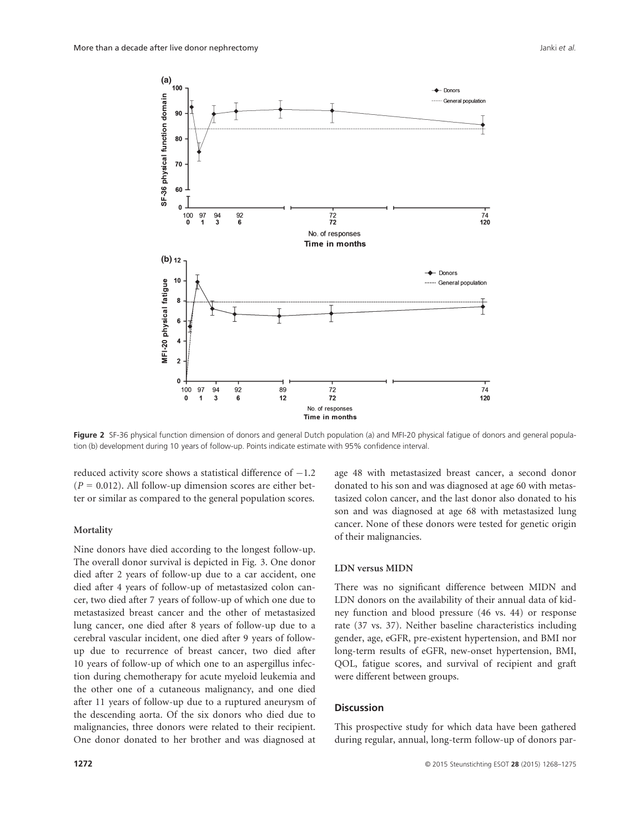

Figure 2 SF-36 physical function dimension of donors and general Dutch population (a) and MFI-20 physical fatigue of donors and general population (b) development during 10 years of follow-up. Points indicate estimate with 95% confidence interval.

reduced activity score shows a statistical difference of  $-1.2$  $(P = 0.012)$ . All follow-up dimension scores are either better or similar as compared to the general population scores.

### **Mortality**

Nine donors have died according to the longest follow-up. The overall donor survival is depicted in Fig. 3. One donor died after 2 years of follow-up due to a car accident, one died after 4 years of follow-up of metastasized colon cancer, two died after 7 years of follow-up of which one due to metastasized breast cancer and the other of metastasized lung cancer, one died after 8 years of follow-up due to a cerebral vascular incident, one died after 9 years of followup due to recurrence of breast cancer, two died after 10 years of follow-up of which one to an aspergillus infection during chemotherapy for acute myeloid leukemia and the other one of a cutaneous malignancy, and one died after 11 years of follow-up due to a ruptured aneurysm of the descending aorta. Of the six donors who died due to malignancies, three donors were related to their recipient. One donor donated to her brother and was diagnosed at

age 48 with metastasized breast cancer, a second donor donated to his son and was diagnosed at age 60 with metastasized colon cancer, and the last donor also donated to his son and was diagnosed at age 68 with metastasized lung cancer. None of these donors were tested for genetic origin of their malignancies.

#### LDN versus MIDN

There was no significant difference between MIDN and LDN donors on the availability of their annual data of kidney function and blood pressure (46 vs. 44) or response rate (37 vs. 37). Neither baseline characteristics including gender, age, eGFR, pre-existent hypertension, and BMI nor long-term results of eGFR, new-onset hypertension, BMI, QOL, fatigue scores, and survival of recipient and graft were different between groups.

## **Discussion**

This prospective study for which data have been gathered during regular, annual, long-term follow-up of donors par-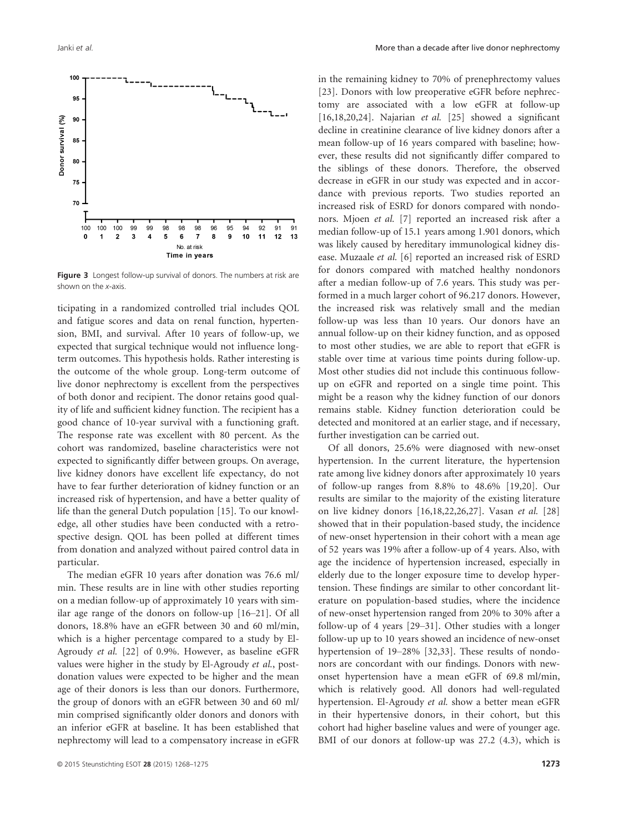

Figure 3 Longest follow-up survival of donors. The numbers at risk are shown on the x-axis.

ticipating in a randomized controlled trial includes QOL and fatigue scores and data on renal function, hypertension, BMI, and survival. After 10 years of follow-up, we expected that surgical technique would not influence longterm outcomes. This hypothesis holds. Rather interesting is the outcome of the whole group. Long-term outcome of live donor nephrectomy is excellent from the perspectives of both donor and recipient. The donor retains good quality of life and sufficient kidney function. The recipient has a good chance of 10-year survival with a functioning graft. The response rate was excellent with 80 percent. As the cohort was randomized, baseline characteristics were not expected to significantly differ between groups. On average, live kidney donors have excellent life expectancy, do not have to fear further deterioration of kidney function or an increased risk of hypertension, and have a better quality of life than the general Dutch population [15]. To our knowledge, all other studies have been conducted with a retrospective design. QOL has been polled at different times from donation and analyzed without paired control data in particular.

The median eGFR 10 years after donation was 76.6 ml/ min. These results are in line with other studies reporting on a median follow-up of approximately 10 years with similar age range of the donors on follow-up [16–21]. Of all donors, 18.8% have an eGFR between 30 and 60 ml/min, which is a higher percentage compared to a study by El-Agroudy et al. [22] of 0.9%. However, as baseline eGFR values were higher in the study by El-Agroudy et al., postdonation values were expected to be higher and the mean age of their donors is less than our donors. Furthermore, the group of donors with an eGFR between 30 and 60 ml/ min comprised significantly older donors and donors with an inferior eGFR at baseline. It has been established that nephrectomy will lead to a compensatory increase in eGFR

in the remaining kidney to 70% of prenephrectomy values [23]. Donors with low preoperative eGFR before nephrectomy are associated with a low eGFR at follow-up [16,18,20,24]. Najarian et al. [25] showed a significant decline in creatinine clearance of live kidney donors after a mean follow-up of 16 years compared with baseline; however, these results did not significantly differ compared to the siblings of these donors. Therefore, the observed decrease in eGFR in our study was expected and in accordance with previous reports. Two studies reported an increased risk of ESRD for donors compared with nondonors. Mjoen et al. [7] reported an increased risk after a median follow-up of 15.1 years among 1.901 donors, which was likely caused by hereditary immunological kidney disease. Muzaale et al. [6] reported an increased risk of ESRD for donors compared with matched healthy nondonors after a median follow-up of 7.6 years. This study was performed in a much larger cohort of 96.217 donors. However, the increased risk was relatively small and the median follow-up was less than 10 years. Our donors have an annual follow-up on their kidney function, and as opposed to most other studies, we are able to report that eGFR is stable over time at various time points during follow-up. Most other studies did not include this continuous followup on eGFR and reported on a single time point. This might be a reason why the kidney function of our donors remains stable. Kidney function deterioration could be detected and monitored at an earlier stage, and if necessary, further investigation can be carried out.

Of all donors, 25.6% were diagnosed with new-onset hypertension. In the current literature, the hypertension rate among live kidney donors after approximately 10 years of follow-up ranges from 8.8% to 48.6% [19,20]. Our results are similar to the majority of the existing literature on live kidney donors [16,18,22,26,27]. Vasan et al. [28] showed that in their population-based study, the incidence of new-onset hypertension in their cohort with a mean age of 52 years was 19% after a follow-up of 4 years. Also, with age the incidence of hypertension increased, especially in elderly due to the longer exposure time to develop hypertension. These findings are similar to other concordant literature on population-based studies, where the incidence of new-onset hypertension ranged from 20% to 30% after a follow-up of 4 years [29–31]. Other studies with a longer follow-up up to 10 years showed an incidence of new-onset hypertension of 19–28% [32,33]. These results of nondonors are concordant with our findings. Donors with newonset hypertension have a mean eGFR of 69.8 ml/min, which is relatively good. All donors had well-regulated hypertension. El-Agroudy et al. show a better mean eGFR in their hypertensive donors, in their cohort, but this cohort had higher baseline values and were of younger age. BMI of our donors at follow-up was 27.2 (4.3), which is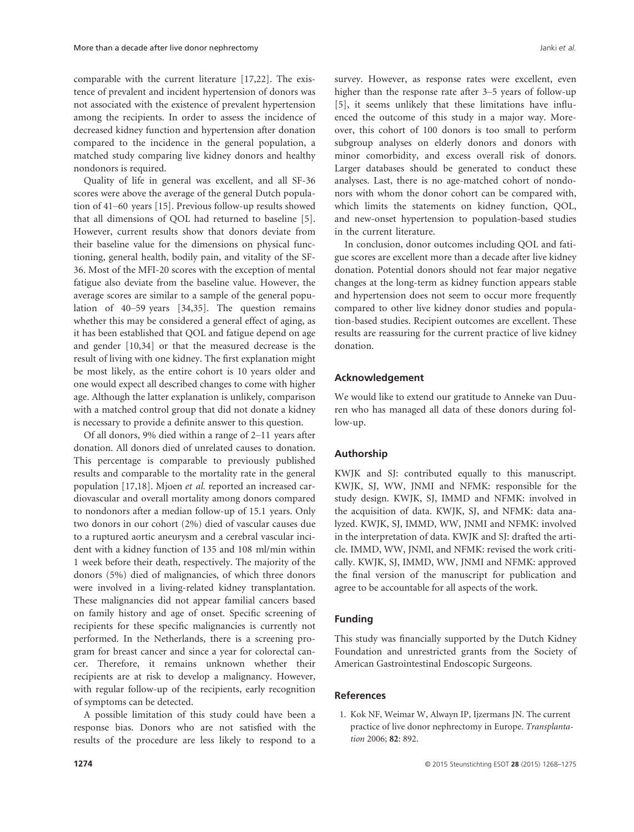comparable with the current literature [17,22]. The existence of prevalent and incident hypertension of donors was not associated with the existence of prevalent hypertension among the recipients. In order to assess the incidence of decreased kidney function and hypertension after donation compared to the incidence in the general population, a matched study comparing live kidney donors and healthy nondonors is required.

Quality of life in general was excellent, and all SF-36 scores were above the average of the general Dutch population of 41–60 years [15]. Previous follow-up results showed that all dimensions of QOL had returned to baseline [5]. However, current results show that donors deviate from their baseline value for the dimensions on physical functioning, general health, bodily pain, and vitality of the SF-36. Most of the MFI-20 scores with the exception of mental fatigue also deviate from the baseline value. However, the average scores are similar to a sample of the general population of 40–59 years [34,35]. The question remains whether this may be considered a general effect of aging, as it has been established that QOL and fatigue depend on age and gender [10,34] or that the measured decrease is the result of living with one kidney. The first explanation might be most likely, as the entire cohort is 10 years older and one would expect all described changes to come with higher age. Although the latter explanation is unlikely, comparison with a matched control group that did not donate a kidney is necessary to provide a definite answer to this question.

Of all donors, 9% died within a range of 2–11 years after donation. All donors died of unrelated causes to donation. This percentage is comparable to previously published results and comparable to the mortality rate in the general population [17,18]. Mjoen et al. reported an increased cardiovascular and overall mortality among donors compared to nondonors after a median follow-up of 15.1 years. Only two donors in our cohort (2%) died of vascular causes due to a ruptured aortic aneurysm and a cerebral vascular incident with a kidney function of 135 and 108 ml/min within 1 week before their death, respectively. The majority of the donors (5%) died of malignancies, of which three donors were involved in a living-related kidney transplantation. These malignancies did not appear familial cancers based on family history and age of onset. Specific screening of recipients for these specific malignancies is currently not performed. In the Netherlands, there is a screening program for breast cancer and since a year for colorectal cancer. Therefore, it remains unknown whether their recipients are at risk to develop a malignancy. However, with regular follow-up of the recipients, early recognition of symptoms can be detected.

A possible limitation of this study could have been a response bias. Donors who are not satisfied with the results of the procedure are less likely to respond to a

survey. However, as response rates were excellent, even higher than the response rate after 3–5 years of follow-up [5], it seems unlikely that these limitations have influenced the outcome of this study in a major way. Moreover, this cohort of 100 donors is too small to perform subgroup analyses on elderly donors and donors with minor comorbidity, and excess overall risk of donors. Larger databases should be generated to conduct these analyses. Last, there is no age-matched cohort of nondonors with whom the donor cohort can be compared with, which limits the statements on kidney function, QOL, and new-onset hypertension to population-based studies in the current literature.

In conclusion, donor outcomes including QOL and fatigue scores are excellent more than a decade after live kidney donation. Potential donors should not fear major negative changes at the long-term as kidney function appears stable and hypertension does not seem to occur more frequently compared to other live kidney donor studies and population-based studies. Recipient outcomes are excellent. These results are reassuring for the current practice of live kidney donation.

## Acknowledgement

We would like to extend our gratitude to Anneke van Duuren who has managed all data of these donors during follow-up.

## Authorship

KWJK and SJ: contributed equally to this manuscript. KWJK, SJ, WW, JNMI and NFMK: responsible for the study design. KWJK, SJ, IMMD and NFMK: involved in the acquisition of data. KWJK, SJ, and NFMK: data analyzed. KWJK, SJ, IMMD, WW, JNMI and NFMK: involved in the interpretation of data. KWJK and SJ: drafted the article. IMMD, WW, JNMI, and NFMK: revised the work critically. KWJK, SJ, IMMD, WW, JNMI and NFMK: approved the final version of the manuscript for publication and agree to be accountable for all aspects of the work.

## Funding

This study was financially supported by the Dutch Kidney Foundation and unrestricted grants from the Society of American Gastrointestinal Endoscopic Surgeons.

## References

1. Kok NF, Weimar W, Alwayn IP, Ijzermans JN. The current practice of live donor nephrectomy in Europe. Transplantation 2006; 82: 892.